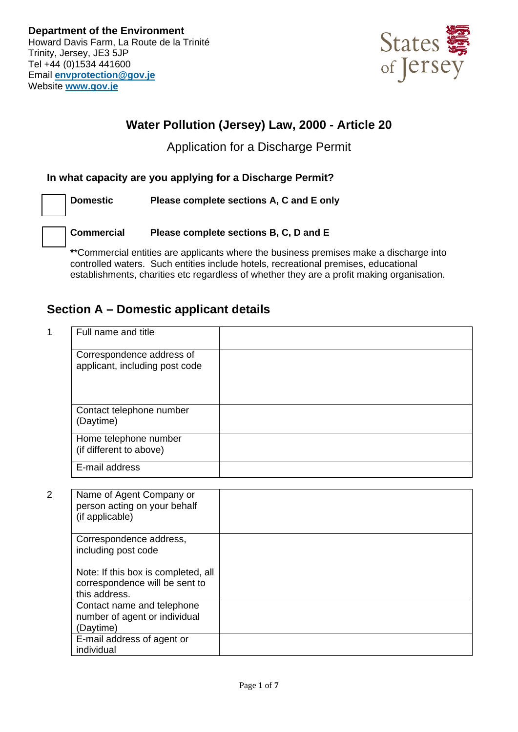

## **Water Pollution (Jersey) Law, 2000 - Article 20**

## Application for a Discharge Permit

## **In what capacity are you applying for a Discharge Permit?**

**Domestic Please complete sections A, C and E only** 

**Commercial Please complete sections B, C, D and E** 

**\***\*Commercial entities are applicants where the business premises make a discharge into controlled waters. Such entities include hotels, recreational premises, educational establishments, charities etc regardless of whether they are a profit making organisation.

## **Section A – Domestic applicant details**

| Full name and title                                         |  |
|-------------------------------------------------------------|--|
| Correspondence address of<br>applicant, including post code |  |
| Contact telephone number<br>(Daytime)                       |  |
| Home telephone number<br>(if different to above)            |  |
| E-mail address                                              |  |

| 2 | Name of Agent Company or<br>person acting on your behalf<br>(if applicable)            |  |
|---|----------------------------------------------------------------------------------------|--|
|   | Correspondence address,<br>including post code                                         |  |
|   | Note: If this box is completed, all<br>correspondence will be sent to<br>this address. |  |
|   | Contact name and telephone<br>number of agent or individual<br>(Daytime)               |  |
|   | E-mail address of agent or<br>individual                                               |  |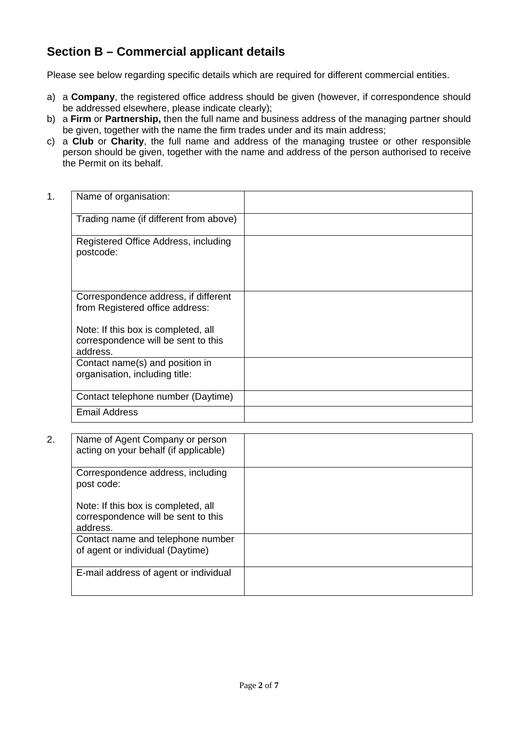## **Section B – Commercial applicant details**

Please see below regarding specific details which are required for different commercial entities.

- a) a **Company**, the registered office address should be given (however, if correspondence should be addressed elsewhere, please indicate clearly);
- b) a **Firm** or **Partnership,** then the full name and business address of the managing partner should be given, together with the name the firm trades under and its main address;
- c) a **Club** or **Charity**, the full name and address of the managing trustee or other responsible person should be given, together with the name and address of the person authorised to receive the Permit on its behalf.

| 1. | Name of organisation:                                                                  |  |
|----|----------------------------------------------------------------------------------------|--|
|    | Trading name (if different from above)                                                 |  |
|    | Registered Office Address, including<br>postcode:                                      |  |
|    | Correspondence address, if different<br>from Registered office address:                |  |
|    | Note: If this box is completed, all<br>correspondence will be sent to this<br>address. |  |
|    | Contact name(s) and position in<br>organisation, including title:                      |  |
|    | Contact telephone number (Daytime)                                                     |  |
|    | <b>Email Address</b>                                                                   |  |

2. Name of Agent Company or person acting on your behalf (if applicable) Correspondence address, including post code: Note: If this box is completed, all correspondence will be sent to this address. Contact name and telephone number of agent or individual (Daytime) E-mail address of agent or individual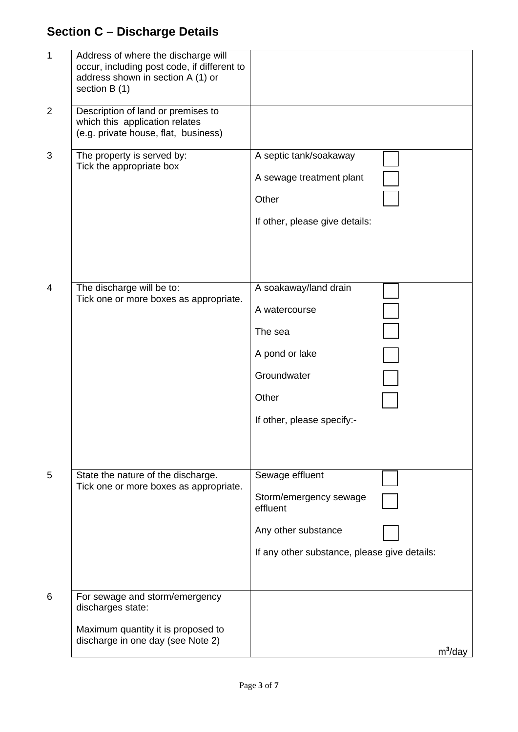# **Section C – Discharge Details**

| 1              | Address of where the discharge will<br>occur, including post code, if different to<br>address shown in section A (1) or<br>section B (1) |                                                                                                                              |
|----------------|------------------------------------------------------------------------------------------------------------------------------------------|------------------------------------------------------------------------------------------------------------------------------|
| $\overline{2}$ | Description of land or premises to<br>which this application relates<br>(e.g. private house, flat, business)                             |                                                                                                                              |
| 3              | The property is served by:<br>Tick the appropriate box                                                                                   | A septic tank/soakaway<br>A sewage treatment plant<br>Other<br>If other, please give details:                                |
| 4              | The discharge will be to:<br>Tick one or more boxes as appropriate.                                                                      | A soakaway/land drain<br>A watercourse<br>The sea<br>A pond or lake<br>Groundwater<br>Other<br>If other, please specify:-    |
| 5              | State the nature of the discharge.<br>Tick one or more boxes as appropriate.                                                             | Sewage effluent<br>Storm/emergency sewage<br>effluent<br>Any other substance<br>If any other substance, please give details: |
| 6              | For sewage and storm/emergency<br>discharges state:<br>Maximum quantity it is proposed to<br>discharge in one day (see Note 2)           | $m^3$ /day                                                                                                                   |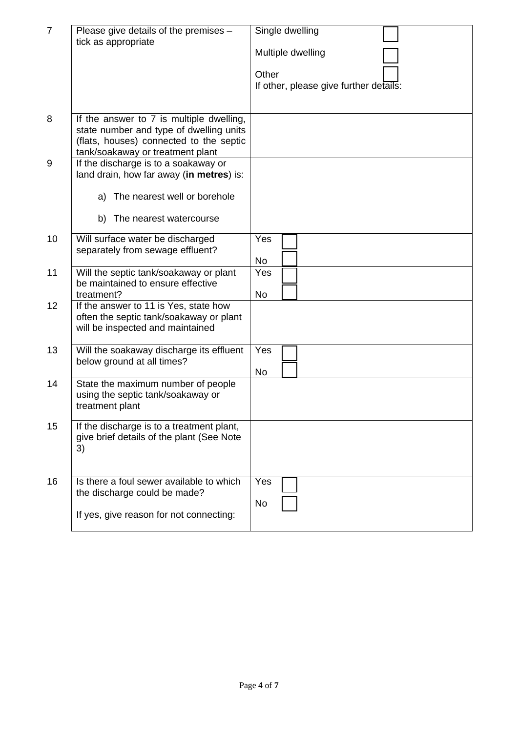| $\overline{7}$ | Please give details of the premises -<br>tick as appropriate                                                                                                       | Single dwelling<br>Multiple dwelling<br>Other<br>If other, please give further details: |
|----------------|--------------------------------------------------------------------------------------------------------------------------------------------------------------------|-----------------------------------------------------------------------------------------|
| 8              | If the answer to 7 is multiple dwelling,<br>state number and type of dwelling units<br>(flats, houses) connected to the septic<br>tank/soakaway or treatment plant |                                                                                         |
| 9              | If the discharge is to a soakaway or<br>land drain, how far away (in metres) is:<br>The nearest well or borehole<br>a)<br>b)<br>The nearest watercourse            |                                                                                         |
| 10             | Will surface water be discharged<br>separately from sewage effluent?                                                                                               | Yes<br><b>No</b>                                                                        |
| 11             | Will the septic tank/soakaway or plant<br>be maintained to ensure effective<br>treatment?                                                                          | Yes<br>No                                                                               |
| 12             | If the answer to 11 is Yes, state how<br>often the septic tank/soakaway or plant<br>will be inspected and maintained                                               |                                                                                         |
| 13             | Will the soakaway discharge its effluent<br>below ground at all times?                                                                                             | Yes<br><b>No</b>                                                                        |
| 14             | State the maximum number of people<br>using the septic tank/soakaway or<br>treatment plant                                                                         |                                                                                         |
| 15             | If the discharge is to a treatment plant,<br>give brief details of the plant (See Note<br>3)                                                                       |                                                                                         |
| 16             | Is there a foul sewer available to which<br>the discharge could be made?<br>If yes, give reason for not connecting:                                                | Yes<br>No                                                                               |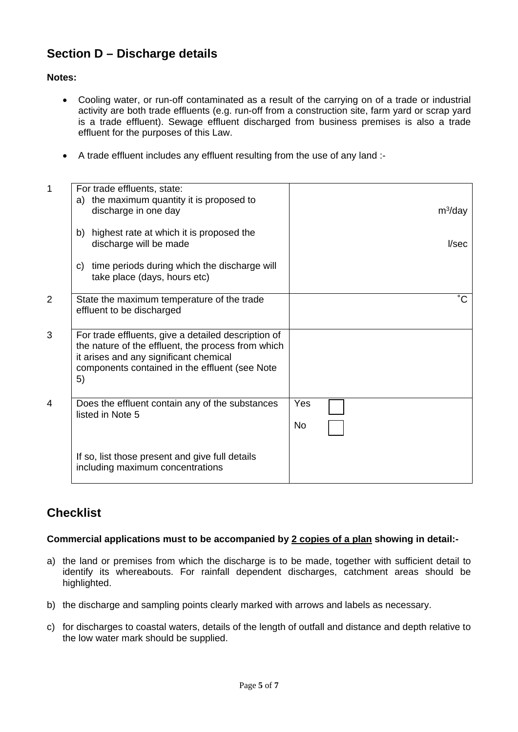## **Section D – Discharge details**

#### **Notes:**

- Cooling water, or run-off contaminated as a result of the carrying on of a trade or industrial activity are both trade effluents (e.g. run-off from a construction site, farm yard or scrap yard is a trade effluent). Sewage effluent discharged from business premises is also a trade effluent for the purposes of this Law.
- A trade effluent includes any effluent resulting from the use of any land :-

| $\mathbf{1}$ | For trade effluents, state:                                                        |             |
|--------------|------------------------------------------------------------------------------------|-------------|
|              | the maximum quantity it is proposed to<br>a)                                       |             |
|              | discharge in one day                                                               | $m^3$ /day  |
|              |                                                                                    |             |
|              | highest rate at which it is proposed the<br>b)<br>discharge will be made           | I/sec       |
|              |                                                                                    |             |
|              | time periods during which the discharge will<br>C)<br>take place (days, hours etc) |             |
|              |                                                                                    |             |
| 2            | State the maximum temperature of the trade                                         | $^{\circ}C$ |
|              | effluent to be discharged                                                          |             |
| 3            | For trade effluents, give a detailed description of                                |             |
|              | the nature of the effluent, the process from which                                 |             |
|              | it arises and any significant chemical                                             |             |
|              | components contained in the effluent (see Note                                     |             |
|              | 5)                                                                                 |             |
|              |                                                                                    |             |
| 4            | Does the effluent contain any of the substances                                    | Yes         |
|              | listed in Note 5                                                                   |             |
|              |                                                                                    | No          |
|              |                                                                                    |             |
|              | If so, list those present and give full details                                    |             |
|              | including maximum concentrations                                                   |             |
|              |                                                                                    |             |

## **Checklist**

#### **Commercial applications must to be accompanied by 2 copies of a plan showing in detail:-**

- a) the land or premises from which the discharge is to be made, together with sufficient detail to identify its whereabouts. For rainfall dependent discharges, catchment areas should be highlighted.
- b) the discharge and sampling points clearly marked with arrows and labels as necessary.
- c) for discharges to coastal waters, details of the length of outfall and distance and depth relative to the low water mark should be supplied.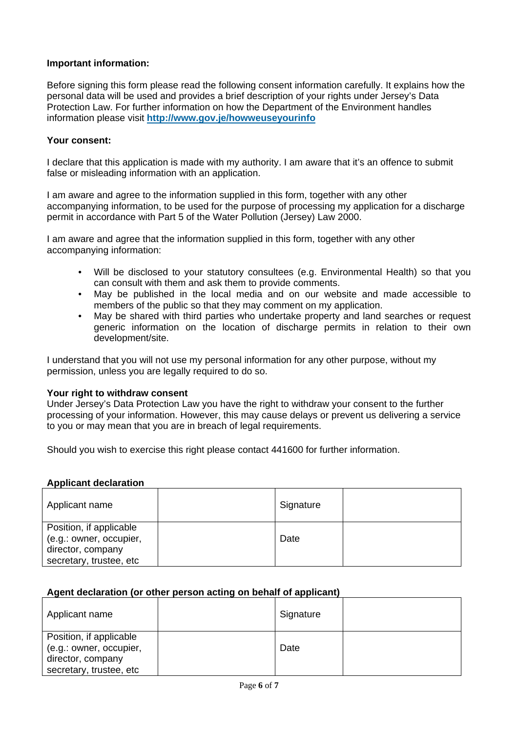### **Important information:**

Before signing this form please read the following consent information carefully. It explains how the personal data will be used and provides a brief description of your rights under Jersey's Data Protection Law. For further information on how the Department of the Environment handles information please visit **http://www.gov.je/howweuseyourinfo** 

#### **Your consent:**

I declare that this application is made with my authority. I am aware that it's an offence to submit false or misleading information with an application.

I am aware and agree to the information supplied in this form, together with any other accompanying information, to be used for the purpose of processing my application for a discharge permit in accordance with Part 5 of the Water Pollution (Jersey) Law 2000.

I am aware and agree that the information supplied in this form, together with any other accompanying information:

- Will be disclosed to your statutory consultees (e.g. Environmental Health) so that you can consult with them and ask them to provide comments.
- May be published in the local media and on our website and made accessible to members of the public so that they may comment on my application.
- May be shared with third parties who undertake property and land searches or request generic information on the location of discharge permits in relation to their own development/site.

I understand that you will not use my personal information for any other purpose, without my permission, unless you are legally required to do so.

#### **Your right to withdraw consent**

Under Jersey's Data Protection Law you have the right to withdraw your consent to the further processing of your information. However, this may cause delays or prevent us delivering a service to you or may mean that you are in breach of legal requirements.

Should you wish to exercise this right please contact 441600 for further information.

#### **Applicant declaration**

| Applicant name                                     | Signature |  |
|----------------------------------------------------|-----------|--|
| Position, if applicable<br>(e.g.: owner, occupier, | Date      |  |
| director, company<br>secretary, trustee, etc       |           |  |

#### **Agent declaration (or other person acting on behalf of applicant)**

| Applicant name                                                                                     | Signature |  |
|----------------------------------------------------------------------------------------------------|-----------|--|
| Position, if applicable<br>(e.g.: owner, occupier,<br>director, company<br>secretary, trustee, etc | Date      |  |